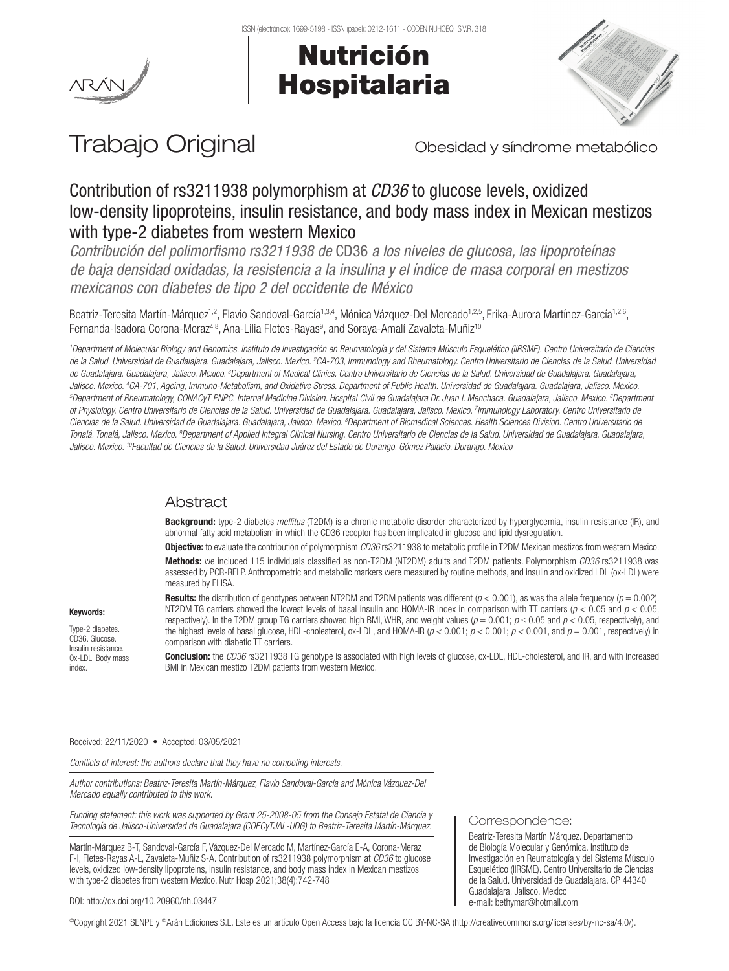





# Trabajo Original **Trabajo Original** Obesidad y síndrome metabólico

## Contribution of rs3211938 polymorphism at *CD36* to glucose levels, oxidized low-density lipoproteins, insulin resistance, and body mass index in Mexican mestizos with type-2 diabetes from western Mexico

*Contribución del polimorfismo rs3211938 de* CD36 *a los niveles de glucosa, las lipoproteínas de baja densidad oxidadas, la resistencia a la insulina y el índice de masa corporal en mestizos mexicanos con diabetes de tipo 2 del occidente de México*

Beatriz-Teresita Martín-Márquez<sup>1,2</sup>, Flavio Sandoval-García<sup>1,3,4</sup>, Mónica Vázquez-Del Mercado<sup>1,2,5</sup>, Erika-Aurora Martínez-García<sup>1,2,6</sup>, Fernanda-Isadora Corona-Meraz<sup>4,8</sup>, Ana-Lilia Fletes-Rayas<sup>9</sup>, and Soraya-Amalí Zavaleta-Muñiz<sup>10</sup>

*1 Department of Molecular Biology and Genomics. Instituto de Investigación en Reumatología y del Sistema Músculo Esquelético (IIRSME). Centro Universitario de Ciencias*  de la Salud. Universidad de Guadalajara. Guadalajara, Jalisco. Mexico. <sup>2</sup>CA-703, Immunology and Rheumatology. Centro Universitario de Ciencias de la Salud. Universidad de Guadalajara. Guadalajara, Jalisco. Mexico. <sup>3</sup>Department of Medical Clinics. Centro Universitario de Ciencias de la Salud. Universidad de Guadalajara. Guadalajara, Jalisco, Mexico, <sup>4</sup>CA-701, Ageing, Immuno-Metabolism, and Oxidative Stress, Department of Public Health, Universidad de Guadalaiara, Guadalaiara, Jalisco, Mexico, Jalisco. Mexico. 4CA-701, Ageing, Immuno-Metabolism, and Oxidative Stress. Department of Public Health. Universidad de Guadalajara. Guadalajara, Jalisco. Mexico.<br><sup>5</sup>Department of Rheumatology, CONACyT PNPC. Internal Medici *of Physiology. Centro Universitario de Ciencias de la Salud. Universidad de Guadalajara. Guadalajara, Jalisco. Mexico. 7 Immunology Laboratory. Centro Universitario de Ciencias de la Salud. Universidad de Guadalajara. Guadalajara, Jalisco. Mexico. 8 Department of Biomedical Sciences. Health Sciences Division. Centro Universitario de Tonalá. Tonalá, Jalisco. Mexico. 9 Department of Applied Integral Clinical Nursing. Centro Universitario de Ciencias de la Salud. Universidad de Guadalajara. Guadalajara, Jalisco. Mexico. 10Facultad de Ciencias de la Salud. Universidad Juárez del Estado de Durango. Gómez Palacio, Durango. Mexico*

### **Abstract**

Background: type-2 diabetes *mellitus* (T2DM) is a chronic metabolic disorder characterized by hyperglycemia, insulin resistance (IR), and abnormal fatty acid metabolism in which the CD36 receptor has been implicated in glucose and lipid dysregulation.

Objective: to evaluate the contribution of polymorphism *CD36* rs3211938 to metabolic profile in T2DM Mexican mestizos from western Mexico. Methods: we included 115 individuals classified as non-T2DM (NT2DM) adults and T2DM patients. Polymorphism *CD36* rs3211938 was assessed by PCR-RFLP. Anthropometric and metabolic markers were measured by routine methods, and insulin and oxidized LDL (ox-LDL) were measured by ELISA.

Results: the distribution of genotypes between NT2DM and T2DM patients was different (*p* < 0.001), as was the allele frequency (*p* = 0.002). NT2DM TG carriers showed the lowest levels of basal insulin and HOMA-IR index in comparison with TT carriers (*p* < 0.05 and *p* < 0.05, respectively). In the T2DM group TG carriers showed high BMI, WHR, and weight values (*p* = 0.001; *p* ≤ 0.05 and *p* < 0.05, respectively), and the highest levels of basal glucose, HDL-cholesterol, ox-LDL, and HOMA-IR  $(p < 0.001; p < 0.001; p < 0.001$ , and  $p = 0.001$ , respectively) in comparison with diabetic TT carriers.

Conclusion: the *CD36* rs3211938 TG genotype is associated with high levels of glucose, ox-LDL, HDL-cholesterol, and IR, and with increased BMI in Mexican mestizo T2DM patients from western Mexico.

Received: 22/11/2020 • Accepted: 03/05/2021

*Conflicts of interest: the authors declare that they have no competing interests.*

*Author contributions: Beatriz-Teresita Martín-Márquez, Flavio Sandoval-García and Mónica Vázquez-Del Mercado equally contributed to this work.*

*Funding statement: this work was supported by Grant 25-2008-05 from the Consejo Estatal de Ciencia y Tecnología de Jalisco-Universidad de Guadalajara (COECyTJAL-UDG) to Beatriz-Teresita Martín-Márquez.*

Martín-Márquez B-T, Sandoval-García F, Vázquez-Del Mercado M, Martínez-García E-A, Corona-Meraz F-I, Fletes-Rayas A-L, Zavaleta-Muñiz S-A. Contribution of rs3211938 polymorphism at *CD36* to glucose levels, oxidized low-density lipoproteins, insulin resistance, and body mass index in Mexican mestizos with type-2 diabetes from western Mexico. Nutr Hosp 2021;38(4):742-748

#### Correspondence:

Beatriz-Teresita Martín Márquez. Departamento de Biología Molecular y Genómica. Instituto de Investigación en Reumatología y del Sistema Músculo Esquelético (IIRSME). Centro Universitario de Ciencias de la Salud. Universidad de Guadalajara. CP 44340 Guadalajara, Jalisco. Mexico e-mail: bethymar@hotmail.com

DOI: http://dx.doi.org/10.20960/nh.03447

©Copyright 2021 SENPE y ©Arán Ediciones S.L. Este es un artículo Open Access bajo la licencia CC BY-NC-SA (http://creativecommons.org/licenses/by-nc-sa/4.0/).

Keywords:

Type-2 diabetes. CD36. Glucose. Insulin resistance. Ox-LDL. Body mass index.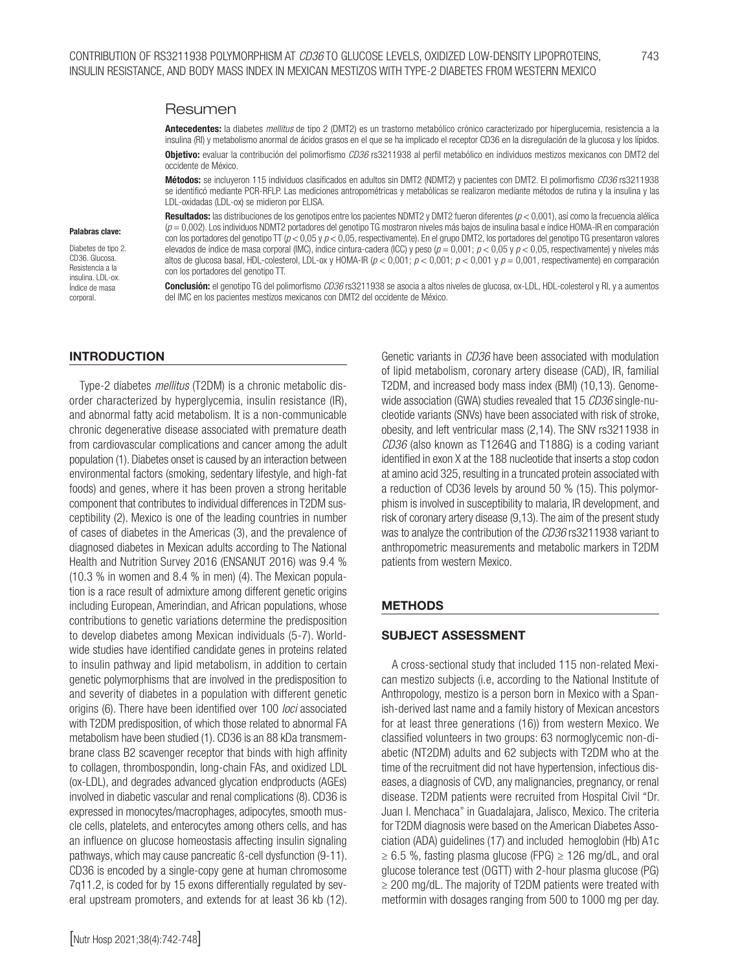#### Resumen

Antecedentes: la diabetes *mellitus* de tipo 2 (DMT2) es un trastorno metabólico crónico caracterizado por hiperglucemia, resistencia a la insulina (RI) y metabolismo anormal de ácidos grasos en el que se ha implicado el receptor CD36 en la disregulación de la glucosa y los lípidos.

Objetivo: evaluar la contribución del polimorfismo *CD36* rs3211938 al perfil metabólico en individuos mestizos mexicanos con DMT2 del occidente de México.

Métodos: se incluyeron 115 individuos clasificados en adultos sin DMT2 (NDMT2) y pacientes con DMT2. El polimorfismo *CD36* rs3211938 se identificó mediante PCR-RFLP. Las mediciones antropométricas y metabólicas se realizaron mediante métodos de rutina y la insulina y las LDL-oxidadas (LDL-ox) se midieron por ELISA.

#### Palabras clave:

Diabetes de tipo 2. CD36. Glucosa. Resistencia a la insulina. LDL-ox. Índice de masa corporal.

Resultados: las distribuciones de los genotipos entre los pacientes NDMT2 y DMT2 fueron diferentes (*p* < 0,001), así como la frecuencia alélica (*p* = 0,002). Los individuos NDMT2 portadores del genotipo TG mostraron niveles más bajos de insulina basal e índice HOMA-IR en comparación con los portadores del genotipo TT (*p* < 0,05 y *p* < 0,05, respectivamente). En el grupo DMT2, los portadores del genotipo TG presentaron valores elevados de índice de masa corporal (IMC), índice cintura-cadera (ICC) y peso (*p* = 0,001; *p* < 0,05 y *p* < 0,05, respectivamente) y niveles más altos de glucosa basal, HDL-colesterol, LDL-ox y HOMA-IR (*p* < 0,001; *p* < 0,001; *p* < 0,001 y *p* = 0,001, respectivamente) en comparación con los portadores del genotipo TT.

Conclusión: el genotipo TG del polimorfismo *CD36* rs3211938 se asocia a altos niveles de glucosa, ox-LDL, HDL-colesterol y RI, y a aumentos del IMC en los pacientes mestizos mexicanos con DMT2 del occidente de México.

#### INTRODUCTION

Type-2 diabetes *mellitus* (T2DM) is a chronic metabolic disorder characterized by hyperglycemia, insulin resistance (IR), and abnormal fatty acid metabolism. It is a non-communicable chronic degenerative disease associated with premature death from cardiovascular complications and cancer among the adult population (1). Diabetes onset is caused by an interaction between environmental factors (smoking, sedentary lifestyle, and high-fat foods) and genes, where it has been proven a strong heritable component that contributes to individual differences in T2DM susceptibility (2). Mexico is one of the leading countries in number of cases of diabetes in the Americas (3), and the prevalence of diagnosed diabetes in Mexican adults according to The National Health and Nutrition Survey 2016 (ENSANUT 2016) was 9.4 % (10.3 % in women and 8.4 % in men) (4). The Mexican population is a race result of admixture among different genetic origins including European, Amerindian, and African populations, whose contributions to genetic variations determine the predisposition to develop diabetes among Mexican individuals (5-7). Worldwide studies have identified candidate genes in proteins related to insulin pathway and lipid metabolism, in addition to certain genetic polymorphisms that are involved in the predisposition to and severity of diabetes in a population with different genetic origins (6). There have been identified over 100 *loci* associated with T2DM predisposition, of which those related to abnormal FA metabolism have been studied (1). CD36 is an 88 kDa transmembrane class B2 scavenger receptor that binds with high affinity to collagen, thrombospondin, long-chain FAs, and oxidized LDL (ox-LDL), and degrades advanced glycation endproducts (AGEs) involved in diabetic vascular and renal complications (8). CD36 is expressed in monocytes/macrophages, adipocytes, smooth muscle cells, platelets, and enterocytes among others cells, and has an influence on glucose homeostasis affecting insulin signaling pathways, which may cause pancreatic ß-cell dysfunction (9-11). CD36 is encoded by a single-copy gene at human chromosome 7q11.2, is coded for by 15 exons differentially regulated by several upstream promoters, and extends for at least 36 kb (12). of lipid metabolism, coronary artery disease (CAD), IR, familial T2DM, and increased body mass index (BMI) (10,13). Genomewide association (GWA) studies revealed that 15 *CD36* single-nucleotide variants (SNVs) have been associated with risk of stroke, obesity, and left ventricular mass (2,14). The SNV rs3211938 in *CD36* (also known as T1264G and T188G) is a coding variant identified in exon X at the 188 nucleotide that inserts a stop codon at amino acid 325, resulting in a truncated protein associated with a reduction of CD36 levels by around 50 % (15). This polymorphism is involved in susceptibility to malaria, IR development, and risk of coronary artery disease (9,13). The aim of the present study was to analyze the contribution of the *CD36* rs3211938 variant to anthropometric measurements and metabolic markers in T2DM patients from western Mexico.

Genetic variants in *CD36* have been associated with modulation

#### METHODS

#### SUBJECT ASSESSMENT

A cross-sectional study that included 115 non-related Mexican mestizo subjects (i.e, according to the National Institute of Anthropology, mestizo is a person born in Mexico with a Spanish-derived last name and a family history of Mexican ancestors for at least three generations (16)) from western Mexico. We classified volunteers in two groups: 63 normoglycemic non-diabetic (NT2DM) adults and 62 subjects with T2DM who at the time of the recruitment did not have hypertension, infectious diseases, a diagnosis of CVD, any malignancies, pregnancy, or renal disease. T2DM patients were recruited from Hospital Civil "Dr. Juan I. Menchaca" in Guadalajara, Jalisco, Mexico. The criteria for T2DM diagnosis were based on the American Diabetes Association (ADA) guidelines (17) and included hemoglobin (Hb) A1c  $\geq 6.5$  %, fasting plasma glucose (FPG)  $\geq 126$  mg/dL, and oral glucose tolerance test (OGTT) with 2-hour plasma glucose (PG) ≥ 200 mg/dL. The majority of T2DM patients were treated with metformin with dosages ranging from 500 to 1000 mg per day.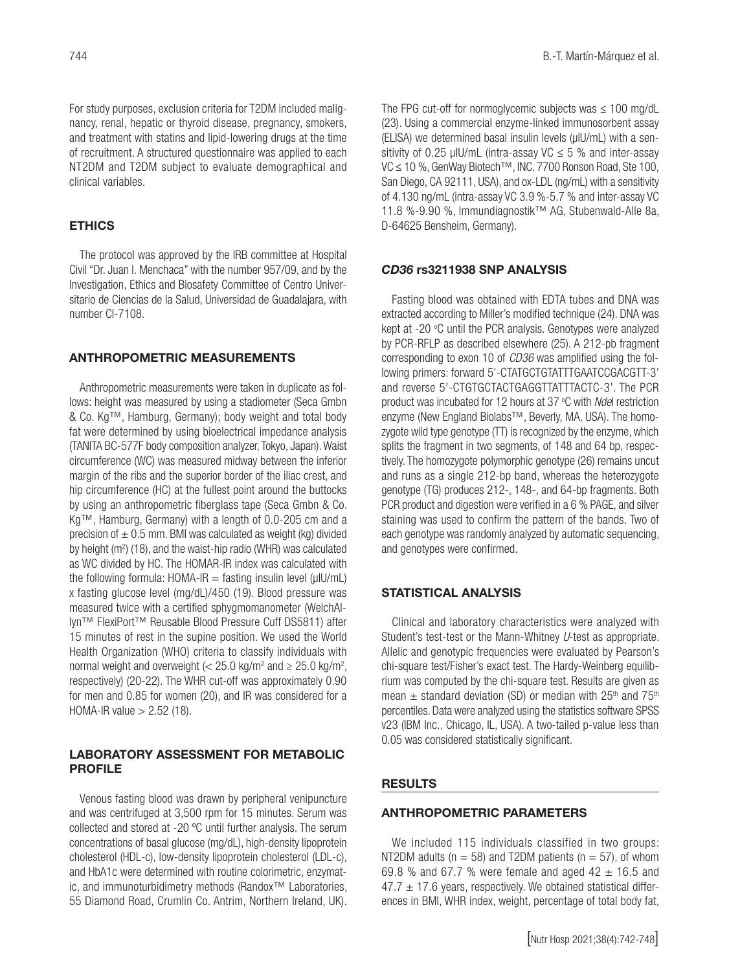For study purposes, exclusion criteria for T2DM included malignancy, renal, hepatic or thyroid disease, pregnancy, smokers, and treatment with statins and lipid-lowering drugs at the time of recruitment. A structured questionnaire was applied to each NT2DM and T2DM subject to evaluate demographical and clinical variables.

#### **ETHICS**

The protocol was approved by the IRB committee at Hospital Civil "Dr. Juan I. Menchaca" with the number 957/09, and by the Investigation, Ethics and Biosafety Committee of Centro Universitario de Ciencias de la Salud, Universidad de Guadalajara, with number CI-7108.

#### ANTHROPOMETRIC MEASUREMENTS

Anthropometric measurements were taken in duplicate as follows: height was measured by using a stadiometer (Seca Gmbn & Co. Kg™, Hamburg, Germany); body weight and total body fat were determined by using bioelectrical impedance analysis (TANITA BC-577F body composition analyzer, Tokyo, Japan). Waist circumference (WC) was measured midway between the inferior margin of the ribs and the superior border of the iliac crest, and hip circumference (HC) at the fullest point around the buttocks by using an anthropometric fiberglass tape (Seca Gmbn & Co. Kg™, Hamburg, Germany) with a length of 0.0-205 cm and a precision of  $\pm$  0.5 mm. BMI was calculated as weight (kg) divided by height (m<sup>2</sup>) (18), and the waist-hip radio (WHR) was calculated as WC divided by HC. The HOMAR-IR index was calculated with the following formula:  $HOMA-IR =$  fasting insulin level ( $\mu$ IU/mL) x fasting glucose level (mg/dL)/450 (19). Blood pressure was measured twice with a certified sphygmomanometer (WelchAllyn™ FlexiPort™ Reusable Blood Pressure Cuff DS5811) after 15 minutes of rest in the supine position. We used the World Health Organization (WHO) criteria to classify individuals with normal weight and overweight (<  $25.0 \text{ kg/m}^2$  and  $\geq 25.0 \text{ kg/m}^2$ , respectively) (20-22). The WHR cut-off was approximately 0.90 for men and 0.85 for women (20), and IR was considered for a HOMA-IR value  $> 2.52$  (18).

#### LABORATORY ASSESSMENT FOR METABOLIC PROFILE

Venous fasting blood was drawn by peripheral venipuncture and was centrifuged at 3,500 rpm for 15 minutes. Serum was collected and stored at -20 ºC until further analysis. The serum concentrations of basal glucose (mg/dL), high-density lipoprotein cholesterol (HDL-c), low-density lipoprotein cholesterol (LDL-c), and HbA1c were determined with routine colorimetric, enzymatic, and immunoturbidimetry methods (Randox™ Laboratories, 55 Diamond Road, Crumlin Co. Antrim, Northern Ireland, UK).

The FPG cut-off for normoglycemic subjects was  $\leq 100$  mg/dL (23). Using a commercial enzyme-linked immunosorbent assay (ELISA) we determined basal insulin levels (µIU/mL) with a sensitivity of 0.25 µIU/mL (intra-assay VC  $\leq$  5 % and inter-assay VC ≤ 10 %, GenWay Biotech™, INC. 7700 Ronson Road, Ste 100, San Diego, CA 92111, USA), and ox-LDL (ng/mL) with a sensitivity of 4.130 ng/mL (intra-assay VC 3.9 %-5.7 % and inter-assay VC 11.8 %-9.90 %, Immundiagnostik™ AG, Stubenwald-Alle 8a, D-64625 Bensheim, Germany).

#### *CD36* rs3211938 SNP ANALYSIS

Fasting blood was obtained with EDTA tubes and DNA was extracted according to Miller's modified technique (24). DNA was kept at -20 °C until the PCR analysis. Genotypes were analyzed by PCR-RFLP as described elsewhere (25). A 212-pb fragment corresponding to exon 10 of *CD36* was amplified using the following primers: forward 5'-CTATGCTGTATTTGAATCCGACGTT-3' and reverse 5'-CTGTGCTACTGAGGTTATTTACTC-3'. The PCR product was incubated for 12 hours at 37 °C with *Ndel* restriction enzyme (New England Biolabs™, Beverly, MA, USA). The homozygote wild type genotype (TT) is recognized by the enzyme, which splits the fragment in two segments, of 148 and 64 bp, respectively. The homozygote polymorphic genotype (26) remains uncut and runs as a single 212-bp band, whereas the heterozygote genotype (TG) produces 212-, 148-, and 64-bp fragments. Both PCR product and digestion were verified in a 6 % PAGE, and silver staining was used to confirm the pattern of the bands. Two of each genotype was randomly analyzed by automatic sequencing, and genotypes were confirmed.

#### STATISTICAL ANALYSIS

Clinical and laboratory characteristics were analyzed with Student's test-test or the Mann-Whitney *U*-test as appropriate. Allelic and genotypic frequencies were evaluated by Pearson's chi-square test/Fisher's exact test. The Hardy-Weinberg equilibrium was computed by the chi-square test. Results are given as mean  $\pm$  standard deviation (SD) or median with 25<sup>th</sup> and 75<sup>th</sup> percentiles. Data were analyzed using the statistics software SPSS v23 (IBM Inc., Chicago, IL, USA). A two-tailed p-value less than 0.05 was considered statistically significant.

#### RESULTS

#### ANTHROPOMETRIC PARAMETERS

We included 115 individuals classified in two groups: NT2DM adults ( $n = 58$ ) and T2DM patients ( $n = 57$ ), of whom 69.8 % and 67.7 % were female and aged  $42 \pm 16.5$  and  $47.7 \pm 17.6$  years, respectively. We obtained statistical differences in BMI, WHR index, weight, percentage of total body fat,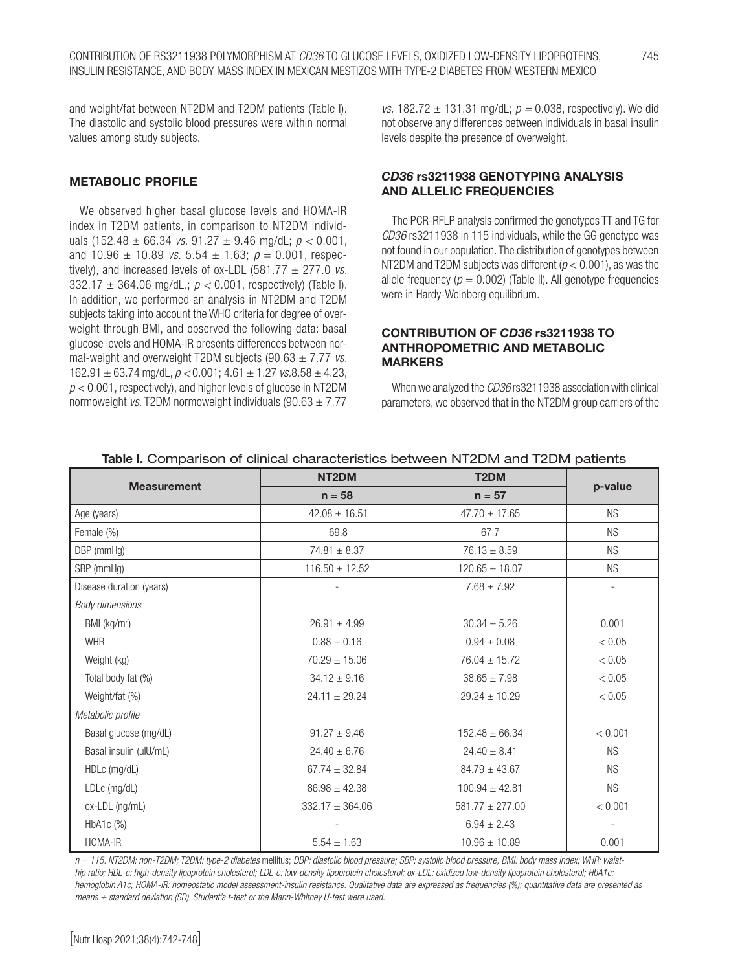and weight/fat between NT2DM and T2DM patients (Table I). The diastolic and systolic blood pressures were within normal values among study subjects.

#### METABOLIC PROFILE

We observed higher basal glucose levels and HOMA-IR index in T2DM patients, in comparison to NT2DM individuals (152.48 ± 66.34 *vs*. 91.27 ± 9.46 mg/dL; *p <* 0.001, and  $10.96 \pm 10.89$  *vs.*  $5.54 \pm 1.63$ ;  $p = 0.001$ , respectively), and increased levels of  $ox$ -LDL (581.77  $\pm$  277.0 *vs.* 332.17 ± 364.06 mg/dL*.*; *p <* 0.001, respectively) (Table I). In addition, we performed an analysis in NT2DM and T2DM subjects taking into account the WHO criteria for degree of overweight through BMI, and observed the following data: basal glucose levels and HOMA-IR presents differences between normal-weight and overweight T2DM subjects (90.63 ± 7.77 *vs.*  162.91  $\pm$  63.74 mg/dL,  $p$  < 0.001; 4.61  $\pm$  1.27 *vs.*8.58  $\pm$  4.23, *p <* 0.001, respectively), and higher levels of glucose in NT2DM normoweight *vs.* T2DM normoweight individuals (90.63 ± 7.77

*vs.* 182.72 ± 131.31 mg/dL; *p =* 0.038, respectively). We did not observe any differences between individuals in basal insulin levels despite the presence of overweight.

#### *CD36* rs3211938 GENOTYPING ANALYSIS AND ALLELIC FREQUENCIES

The PCR-RFLP analysis confirmed the genotypes TT and TG for *CD36* rs3211938 in 115 individuals, while the GG genotype was not found in our population. The distribution of genotypes between NT2DM and T2DM subjects was different (*p* < 0.001), as was the allele frequency  $(p = 0.002)$  (Table II). All genotype frequencies were in Hardy-Weinberg equilibrium.

#### CONTRIBUTION OF *CD36* rs3211938 TO ANTHROPOMETRIC AND METABOLIC MARKERS

When we analyzed the *CD36* rs3211938 association with clinical parameters, we observed that in the NT2DM group carriers of the

|                          | NT <sub>2</sub> DM  | T <sub>2</sub> DM   |           |  |
|--------------------------|---------------------|---------------------|-----------|--|
| <b>Measurement</b>       | $n = 58$            | $n = 57$            | p-value   |  |
| Age (years)              | $42.08 \pm 16.51$   | $47.70 \pm 17.65$   | <b>NS</b> |  |
| Female (%)               | 69.8                | 67.7                | <b>NS</b> |  |
| DBP (mmHg)               | $74.81 \pm 8.37$    | $76.13 \pm 8.59$    | <b>NS</b> |  |
| SBP (mmHg)               | $116.50 \pm 12.52$  | $120.65 \pm 18.07$  | <b>NS</b> |  |
| Disease duration (years) |                     | $7.68 \pm 7.92$     |           |  |
| <b>Body dimensions</b>   |                     |                     |           |  |
| BMI (kg/m <sup>2</sup> ) | $26.91 \pm 4.99$    | $30.34 \pm 5.26$    | 0.001     |  |
| <b>WHR</b>               | $0.88 \pm 0.16$     | $0.94 \pm 0.08$     | < 0.05    |  |
| Weight (kg)              | $70.29 \pm 15.06$   | $76.04 \pm 15.72$   | < 0.05    |  |
| Total body fat (%)       | $34.12 \pm 9.16$    | $38.65 \pm 7.98$    | < 0.05    |  |
| Weight/fat (%)           | $24.11 \pm 29.24$   | $29.24 \pm 10.29$   | < 0.05    |  |
| Metabolic profile        |                     |                     |           |  |
| Basal glucose (mg/dL)    | $91.27 \pm 9.46$    | $152.48 \pm 66.34$  | < 0.001   |  |
| Basal insulin (µIU/mL)   | $24.40 \pm 6.76$    | $24.40 \pm 8.41$    | <b>NS</b> |  |
| HDLc (mg/dL)             | $67.74 \pm 32.84$   | $84.79 \pm 43.67$   | <b>NS</b> |  |
| LDLc (mg/dL)             | $86.98 \pm 42.38$   | $100.94 \pm 42.81$  | <b>NS</b> |  |
| ox-LDL (ng/mL)           | $332.17 \pm 364.06$ | $581.77 \pm 277.00$ | < 0.001   |  |
| HbA1c (%)                |                     | $6.94 \pm 2.43$     |           |  |
| HOMA-IR                  | $5.54 \pm 1.63$     | $10.96 \pm 10.89$   | 0.001     |  |

#### Table I. Comparison of clinical characteristics between NT2DM and T2DM patients

*n = 115. NT2DM: non-T2DM; T2DM: type-2 diabetes* mellitus; *DBP: diastolic blood pressure; SBP: systolic blood pressure; BMI: body mass index; WHR: waisthip ratio; HDL-c: high-density lipoprotein cholesterol; LDL-c: low-density lipoprotein cholesterol; ox-LDL: oxidized low-density lipoprotein cholesterol; HbA1c: hemoglobin A1c; HOMA-IR: homeostatic model assessment-insulin resistance. Qualitative data are expressed as frequencies (%); quantitative data are presented as means ± standard deviation (SD). Student's t-test or the Mann-Whitney U-test were used.*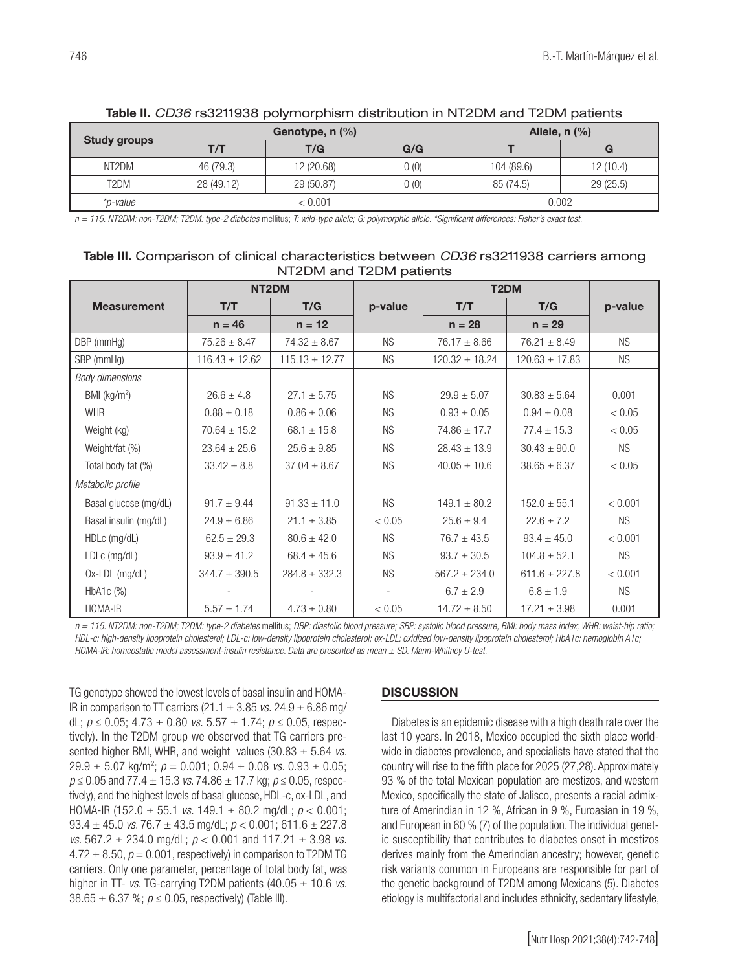| <b>Study groups</b> | Genotype, $n$ $(\%)$ |            |       | Allele, $n$ $(\%)$ |          |  |
|---------------------|----------------------|------------|-------|--------------------|----------|--|
|                     | T/T                  | T/G        | G/G   |                    | G        |  |
| NT2DM               | 46 (79.3)            | 12 (20.68) | 0(0)  | 104 (89.6)         | 12(10.4) |  |
| T2DM                | 28 (49.12)           | 29 (50.87) | 0 (0) | 85 (74.5)          | 29(25.5) |  |
| *p-value            | < 0.001              |            | 0.002 |                    |          |  |

#### Table II. *CD36* rs3211938 polymorphism distribution in NT2DM and T2DM patients

*n = 115. NT2DM: non-T2DM; T2DM: type-2 diabetes* mellitus; *T: wild-type allele; G: polymorphic allele. \*Significant differences: Fisher's exact test.*

#### Table III. Comparison of clinical characteristics between *CD36* rs3211938 carriers among NT2DM and T2DM patients

|                        | NT <sub>2</sub> DM |                    |           | T <sub>2</sub> DM  |                    |           |
|------------------------|--------------------|--------------------|-----------|--------------------|--------------------|-----------|
| <b>Measurement</b>     | T/T                | T/G                | p-value   | T/T                | T/G                | p-value   |
|                        | $n = 46$           | $n = 12$           |           | $n = 28$           | $n = 29$           |           |
| DBP (mmHg)             | $75.26 \pm 8.47$   | $74.32 \pm 8.67$   | <b>NS</b> | $76.17 \pm 8.66$   | $76.21 \pm 8.49$   | <b>NS</b> |
| SBP (mmHg)             | $116.43 \pm 12.62$ | $115.13 \pm 12.77$ | <b>NS</b> | $120.32 \pm 18.24$ | $120.63 \pm 17.83$ | <b>NS</b> |
| <b>Body dimensions</b> |                    |                    |           |                    |                    |           |
| BMI ( $kg/m2$ )        | $26.6 \pm 4.8$     | $27.1 \pm 5.75$    | <b>NS</b> | $29.9 \pm 5.07$    | $30.83 \pm 5.64$   | 0.001     |
| <b>WHR</b>             | $0.88 \pm 0.18$    | $0.86 \pm 0.06$    | <b>NS</b> | $0.93 \pm 0.05$    | $0.94 \pm 0.08$    | < 0.05    |
| Weight (kg)            | $70.64 \pm 15.2$   | $68.1 \pm 15.8$    | <b>NS</b> | $74.86 \pm 17.7$   | $77.4 \pm 15.3$    | < 0.05    |
| Weight/fat (%)         | $23.64 \pm 25.6$   | $25.6 \pm 9.85$    | <b>NS</b> | $28.43 \pm 13.9$   | $30.43 \pm 90.0$   | <b>NS</b> |
| Total body fat (%)     | $33.42 \pm 8.8$    | $37.04 \pm 8.67$   | <b>NS</b> | $40.05 \pm 10.6$   | $38.65 \pm 6.37$   | < 0.05    |
| Metabolic profile      |                    |                    |           |                    |                    |           |
| Basal glucose (mg/dL)  | $91.7 \pm 9.44$    | $91.33 \pm 11.0$   | <b>NS</b> | $149.1 \pm 80.2$   | $152.0 \pm 55.1$   | < 0.001   |
| Basal insulin (mg/dL)  | $24.9 \pm 6.86$    | $21.1 \pm 3.85$    | < 0.05    | $25.6 \pm 9.4$     | $22.6 \pm 7.2$     | <b>NS</b> |
| HDLc (mg/dL)           | $62.5 \pm 29.3$    | $80.6 \pm 42.0$    | <b>NS</b> | $76.7 \pm 43.5$    | $93.4 \pm 45.0$    | < 0.001   |
| LDLc (mg/dL)           | $93.9 \pm 41.2$    | $68.4 \pm 45.6$    | <b>NS</b> | $93.7 \pm 30.5$    | $104.8 \pm 52.1$   | <b>NS</b> |
| Ox-LDL (mg/dL)         | $344.7 \pm 390.5$  | $284.8 \pm 332.3$  | <b>NS</b> | $567.2 \pm 234.0$  | $611.6 \pm 227.8$  | < 0.001   |
| $HbA1c$ $(\%)$         |                    |                    | $\sim$    | $6.7 \pm 2.9$      | $6.8 \pm 1.9$      | <b>NS</b> |
| HOMA-IR                | $5.57 \pm 1.74$    | $4.73 \pm 0.80$    | < 0.05    | $14.72 \pm 8.50$   | $17.21 \pm 3.98$   | 0.001     |

*n = 115. NT2DM: non-T2DM; T2DM: type-2 diabetes* mellitus; *DBP: diastolic blood pressure; SBP: systolic blood pressure, BMI: body mass index; WHR: waist-hip ratio; HDL-c: high-density lipoprotein cholesterol; LDL-c: low-density lipoprotein cholesterol; ox-LDL: oxidized low-density lipoprotein cholesterol; HbA1c: hemoglobin A1c; HOMA-IR: homeostatic model assessment-insulin resistance. Data are presented as mean ± SD. Mann-Whitney U-test.*

TG genotype showed the lowest levels of basal insulin and HOMA-IR in comparison to TT carriers (21.1 ± 3.85 *vs.* 24.9 ± 6.86 mg/ dL; *p* ≤ 0.05; 4.73 ± 0.80 *vs.* 5.57 ± 1.74; *p* ≤ 0.05, respectively). In the T2DM group we observed that TG carriers presented higher BMI, WHR, and weight values (30.83 ± 5.64 *vs.*  $29.9 \pm 5.07$  kg/m<sup>2</sup>;  $p = 0.001$ ;  $0.94 \pm 0.08$  *vs.*  $0.93 \pm 0.05$ ; *p* ≤ 0.05 and 77.4 ± 15.3 *vs*. 74.86 ± 17.7 kg; *p* ≤ 0.05, respectively), and the highest levels of basal glucose, HDL-c, ox-LDL, and HOMA-IR (152.0 ± 55.1 *vs.* 149.1 ± 80.2 mg/dL; *p* < 0.001; 93.4 ± 45.0 *vs*. 76.7 ± 43.5 mg/dL; *p* < 0.001; 611.6 ± 227.8 *vs*. 567.2 ± 234.0 mg/dL; *p* < 0.001 and 117.21 ± 3.98 *vs.*  $4.72 \pm 8.50$ ,  $p = 0.001$ , respectively) in comparison to T2DM TG carriers. Only one parameter, percentage of total body fat, was higher in TT- *vs.* TG-carrying T2DM patients (40.05 ± 10.6 *vs*. 38.65  $\pm$  6.37 %;  $p \le 0.05$ , respectively) (Table III).

#### **DISCUSSION**

Diabetes is an epidemic disease with a high death rate over the last 10 years. In 2018, Mexico occupied the sixth place worldwide in diabetes prevalence, and specialists have stated that the country will rise to the fifth place for 2025 (27,28). Approximately 93 % of the total Mexican population are mestizos, and western Mexico, specifically the state of Jalisco, presents a racial admixture of Amerindian in 12 %, African in 9 %, Euroasian in 19 %, and European in 60 % (7) of the population. The individual genetic susceptibility that contributes to diabetes onset in mestizos derives mainly from the Amerindian ancestry; however, genetic risk variants common in Europeans are responsible for part of the genetic background of T2DM among Mexicans (5). Diabetes etiology is multifactorial and includes ethnicity, sedentary lifestyle,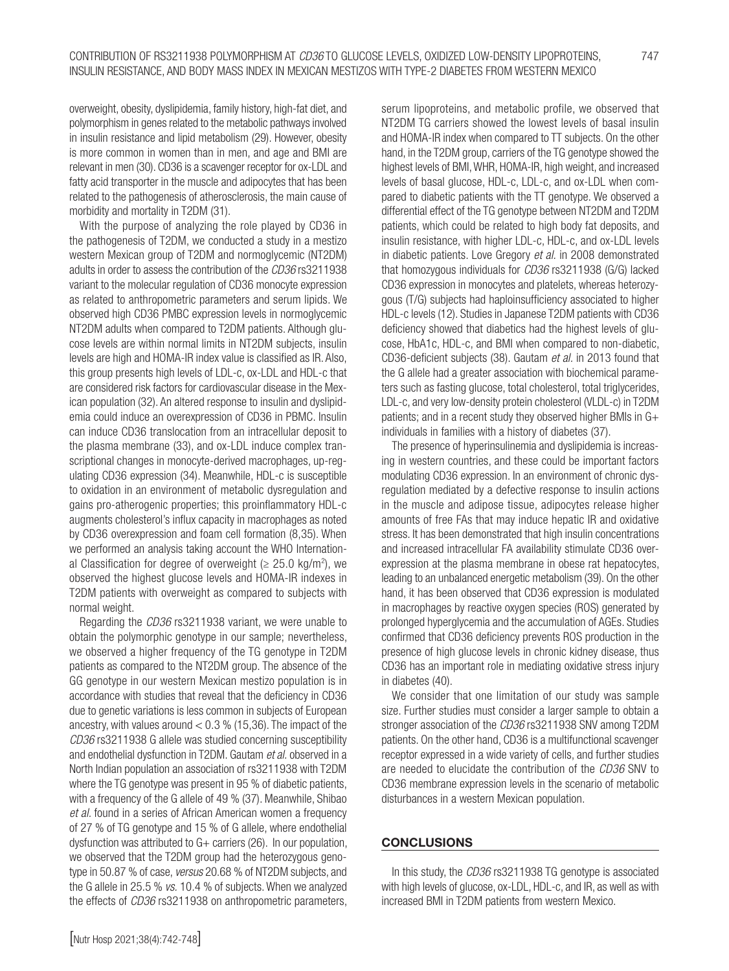overweight, obesity, dyslipidemia, family history, high-fat diet, and polymorphism in genes related to the metabolic pathways involved in insulin resistance and lipid metabolism (29). However, obesity is more common in women than in men, and age and BMI are relevant in men (30). CD36 is a scavenger receptor for ox-LDL and fatty acid transporter in the muscle and adipocytes that has been related to the pathogenesis of atherosclerosis, the main cause of morbidity and mortality in T2DM (31).

With the purpose of analyzing the role played by CD36 in the pathogenesis of T2DM, we conducted a study in a mestizo western Mexican group of T2DM and normoglycemic (NT2DM) adults in order to assess the contribution of the *CD36* rs3211938 variant to the molecular regulation of CD36 monocyte expression as related to anthropometric parameters and serum lipids. We observed high CD36 PMBC expression levels in normoglycemic NT2DM adults when compared to T2DM patients. Although glucose levels are within normal limits in NT2DM subjects, insulin levels are high and HOMA-IR index value is classified as IR. Also, this group presents high levels of LDL-c, ox-LDL and HDL-c that are considered risk factors for cardiovascular disease in the Mexican population (32). An altered response to insulin and dyslipidemia could induce an overexpression of CD36 in PBMC. Insulin can induce CD36 translocation from an intracellular deposit to the plasma membrane (33), and ox-LDL induce complex transcriptional changes in monocyte-derived macrophages, up-regulating CD36 expression (34). Meanwhile, HDL-c is susceptible to oxidation in an environment of metabolic dysregulation and gains pro-atherogenic properties; this proinflammatory HDL-c augments cholesterol's influx capacity in macrophages as noted by CD36 overexpression and foam cell formation (8,35). When we performed an analysis taking account the WHO International Classification for degree of overweight ( $\geq 25.0$  kg/m<sup>2</sup>), we observed the highest glucose levels and HOMA-IR indexes in T2DM patients with overweight as compared to subjects with normal weight.

Regarding the *CD36* rs3211938 variant, we were unable to obtain the polymorphic genotype in our sample; nevertheless, we observed a higher frequency of the TG genotype in T2DM patients as compared to the NT2DM group. The absence of the GG genotype in our western Mexican mestizo population is in accordance with studies that reveal that the deficiency in CD36 due to genetic variations is less common in subjects of European ancestry, with values around  $< 0.3$  % (15,36). The impact of the *CD36* rs3211938 G allele was studied concerning susceptibility and endothelial dysfunction in T2DM. Gautam *et al.* observed in a North Indian population an association of rs3211938 with T2DM where the TG genotype was present in 95 % of diabetic patients, with a frequency of the G allele of 49 % (37). Meanwhile, Shibao *et al.* found in a series of African American women a frequency of 27 % of TG genotype and 15 % of G allele, where endothelial dysfunction was attributed to G+ carriers (26). In our population, we observed that the T2DM group had the heterozygous genotype in 50.87 % of case, *versus* 20.68 % of NT2DM subjects, and the G allele in 25.5 % *vs.* 10.4 % of subjects. When we analyzed the effects of *CD36* rs3211938 on anthropometric parameters,

serum lipoproteins, and metabolic profile, we observed that NT2DM TG carriers showed the lowest levels of basal insulin and HOMA-IR index when compared to TT subjects. On the other hand, in the T2DM group, carriers of the TG genotype showed the highest levels of BMI, WHR, HOMA-IR, high weight, and increased levels of basal glucose, HDL-c, LDL-c, and ox-LDL when compared to diabetic patients with the TT genotype. We observed a differential effect of the TG genotype between NT2DM and T2DM patients, which could be related to high body fat deposits, and insulin resistance, with higher LDL-c, HDL-c, and ox-LDL levels in diabetic patients. Love Gregory *et al.* in 2008 demonstrated that homozygous individuals for *CD36* rs3211938 (G/G) lacked CD36 expression in monocytes and platelets, whereas heterozygous (T/G) subjects had haploinsufficiency associated to higher HDL-c levels (12). Studies in Japanese T2DM patients with CD36 deficiency showed that diabetics had the highest levels of glucose, HbA1c, HDL-c, and BMI when compared to non-diabetic, CD36-deficient subjects (38). Gautam *et al.* in 2013 found that the G allele had a greater association with biochemical parameters such as fasting glucose, total cholesterol, total triglycerides, LDL-c, and very low-density protein cholesterol (VLDL-c) in T2DM patients; and in a recent study they observed higher BMIs in G+ individuals in families with a history of diabetes (37).

The presence of hyperinsulinemia and dyslipidemia is increasing in western countries, and these could be important factors modulating CD36 expression. In an environment of chronic dysregulation mediated by a defective response to insulin actions in the muscle and adipose tissue, adipocytes release higher amounts of free FAs that may induce hepatic IR and oxidative stress. It has been demonstrated that high insulin concentrations and increased intracellular FA availability stimulate CD36 overexpression at the plasma membrane in obese rat hepatocytes, leading to an unbalanced energetic metabolism (39). On the other hand, it has been observed that CD36 expression is modulated in macrophages by reactive oxygen species (ROS) generated by prolonged hyperglycemia and the accumulation of AGEs. Studies confirmed that CD36 deficiency prevents ROS production in the presence of high glucose levels in chronic kidney disease, thus CD36 has an important role in mediating oxidative stress injury in diabetes (40).

We consider that one limitation of our study was sample size. Further studies must consider a larger sample to obtain a stronger association of the *CD36* rs3211938 SNV among T2DM patients. On the other hand, CD36 is a multifunctional scavenger receptor expressed in a wide variety of cells, and further studies are needed to elucidate the contribution of the *CD36* SNV to CD36 membrane expression levels in the scenario of metabolic disturbances in a western Mexican population.

#### **CONCLUSIONS**

In this study, the *CD36* rs3211938 TG genotype is associated with high levels of glucose, ox-LDL, HDL-c, and IR, as well as with increased BMI in T2DM patients from western Mexico.